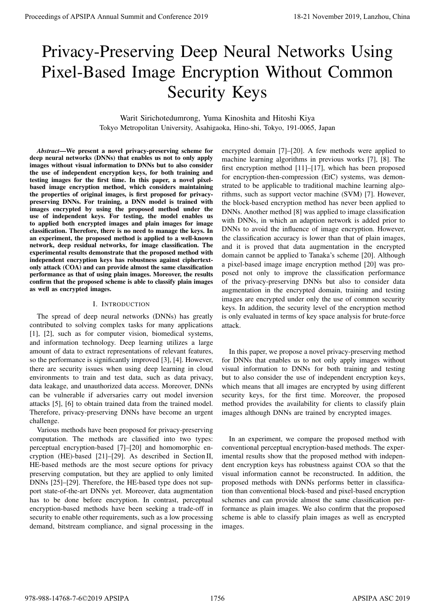# Privacy-Preserving Deep Neural Networks Using Pixel-Based Image Encryption Without Common Security Keys

Warit Sirichotedumrong, Yuma Kinoshita and Hitoshi Kiya Tokyo Metropolitan University, Asahigaoka, Hino-shi, Tokyo, 191-0065, Japan

*Abstract*—We present a novel privacy-preserving scheme for deep neural networks (DNNs) that enables us not to only apply images without visual information to DNNs but to also consider the use of independent encryption keys, for both training and testing images for the first time. In this paper, a novel pixelbased image encryption method, which considers maintaining the properties of original images, is first proposed for privacypreserving DNNs. For training, a DNN model is trained with images encrypted by using the proposed method under the use of independent keys. For testing, the model enables us to applied both encrypted images and plain images for image classification. Therefore, there is no need to manage the keys. In an experiment, the proposed method is applied to a well-known network, deep residual networks, for image classification. The experimental results demonstrate that the proposed method with independent encryption keys has robustness against ciphertextonly attack (COA) and can provide almost the same classification performance as that of using plain images. Moreover, the results confirm that the proposed scheme is able to classify plain images as well as encrypted images.

#### I. INTRODUCTION

The spread of deep neural networks (DNNs) has greatly contributed to solving complex tasks for many applications [1], [2], such as for computer vision, biomedical systems, and information technology. Deep learning utilizes a large amount of data to extract representations of relevant features, so the performance is significantly improved [3], [4]. However, there are security issues when using deep learning in cloud environments to train and test data, such as data privacy, data leakage, and unauthorized data access. Moreover, DNNs can be vulnerable if adversaries carry out model inversion attacks [5], [6] to obtain trained data from the trained model. Therefore, privacy-preserving DNNs have become an urgent challenge.

Various methods have been proposed for privacy-preserving computation. The methods are classified into two types: perceptual encryption-based [7]–[20] and homomorphic encryption (HE)-based [21]–[29]. As described in Section II, HE-based methods are the most secure options for privacy preserving computation, but they are applied to only limited DNNs [25]–[29]. Therefore, the HE-based type does not support state-of-the-art DNNs yet. Moreover, data augmentation has to be done before encryption. In contrast, perceptual encryption-based methods have been seeking a trade-off in security to enable other requirements, such as a low processing demand, bitstream compliance, and signal processing in the

encrypted domain [7]–[20]. A few methods were applied to machine learning algorithms in previous works [7], [8]. The first encryption method [11]–[17], which has been proposed for encryption-then-compression (EtC) systems, was demonstrated to be applicable to traditional machine learning algorithms, such as support vector machine (SVM) [7]. However, the block-based encryption method has never been applied to DNNs. Another method [8] was applied to image classification with DNNs, in which an adaption network is added prior to DNNs to avoid the influence of image encryption. However, the classification accuracy is lower than that of plain images, and it is proved that data augmentation in the encrypted domain cannot be applied to Tanaka's scheme [20]. Although a pixel-based image image encryption method [20] was proposed not only to improve the classification performance of the privacy-preserving DNNs but also to consider data augmentation in the encrypted domain, training and testing images are encrypted under only the use of common security keys. In addition, the security level of the encryption method is only evaluated in terms of key space analysis for brute-force attack. Proceedings of APSIPA Annual Summit at China 978-988-1891<br>
Privacy-Presentating Deep Neural Networks Using<br>
Privacy-Presentating Deep Neural Networks Using<br>
was absolute Encyclopedia (Figure 2019).<br>
Society Keys<br>
was abso

In this paper, we propose a novel privacy-preserving method for DNNs that enables us to not only apply images without visual information to DNNs for both training and testing but to also consider the use of independent encryption keys, which means that all images are encrypted by using different security keys, for the first time. Moreover, the proposed method provides the availability for clients to classify plain images although DNNs are trained by encrypted images.

In an experiment, we compare the proposed method with conventional perceptual encryption-based methods. The experimental results show that the proposed method with independent encryption keys has robustness against COA so that the visual information cannot be reconstructed. In addition, the proposed methods with DNNs performs better in classification than conventional block-based and pixel-based encryption schemes and can provide almost the same classification performance as plain images. We also confirm that the proposed scheme is able to classify plain images as well as encrypted images.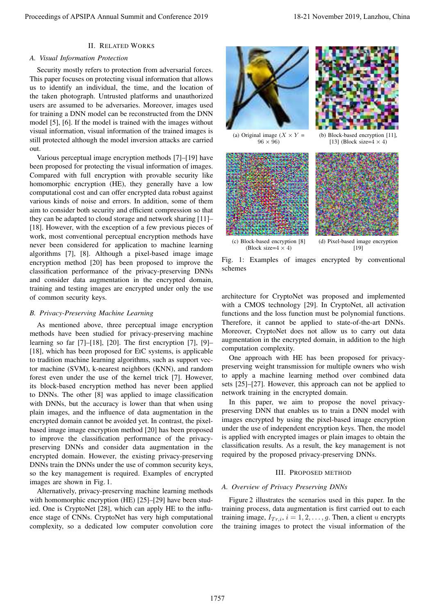# II. RELATED WORKS

## *A. Visual Information Protection*

Security mostly refers to protection from adversarial forces. This paper focuses on protecting visual information that allows us to identify an individual, the time, and the location of the taken photograph. Untrusted platforms and unauthorized users are assumed to be adversaries. Moreover, images used for training a DNN model can be reconstructed from the DNN model [5], [6]. If the model is trained with the images without visual information, visual information of the trained images is still protected although the model inversion attacks are carried out.

Various perceptual image encryption methods [7]–[19] have been proposed for protecting the visual information of images. Compared with full encryption with provable security like homomorphic encryption (HE), they generally have a low computational cost and can offer encrypted data robust against various kinds of noise and errors. In addition, some of them aim to consider both security and efficient compression so that they can be adapted to cloud storage and network sharing [11]– [18]. However, with the exception of a few previous pieces of work, most conventional perceptual encryption methods have never been considered for application to machine learning algorithms [7], [8]. Although a pixel-based image image encryption method [20] has been proposed to improve the classification performance of the privacy-preserving DNNs and consider data augmentation in the encrypted domain, training and testing images are encrypted under only the use of common security keys.

## *B. Privacy-Preserving Machine Learning*

As mentioned above, three perceptual image encryption methods have been studied for privacy-preserving machine learning so far [7]–[18], [20]. The first encryption [7], [9]– [18], which has been proposed for EtC systems, is applicable to tradition machine learning algorithms, such as support vector machine (SVM), k-nearest neighbors (KNN), and random forest even under the use of the kernel trick [7]. However, its block-based encryption method has never been applied to DNNs. The other [8] was applied to image classification with DNNs, but the accuracy is lower than that when using plain images, and the influence of data augmentation in the encrypted domain cannot be avoided yet. In contrast, the pixelbased image image encryption method [20] has been proposed to improve the classification performance of the privacypreserving DNNs and consider data augmentation in the encrypted domain. However, the existing privacy-preserving DNNs train the DNNs under the use of common security keys, so the key management is required. Examples of encrypted images are shown in Fig. 1. Proceedings of APSIPA Annual Summit and Conference 2019<br>
A Usual distinction processes of Annual Summit and Conference 2019<br>
The processes of Annual Summit and Conference 2019<br>
In the processes of Annual Summit and Confer

Alternatively, privacy-preserving machine learning methods with homomorphic encryption (HE) [25]–[29] have been studied. One is CryptoNet [28], which can apply HE to the influence stage of CNNs. CryptoNet has very high computational complexity, so a dedicated low computer convolution core



 $96 \times 96$ 



(b) Block-based encryption [11], [13] (Block size= $4 \times 4$ )



Fig. 1: Examples of images encrypted by conventional schemes

architecture for CryptoNet was proposed and implemented with a CMOS technology [29]. In CryptoNet, all activation functions and the loss function must be polynomial functions. Therefore, it cannot be applied to state-of-the-art DNNs. Moreover, CryptoNet does not allow us to carry out data augmentation in the encrypted domain, in addition to the high computation complexity.

One approach with HE has been proposed for privacypreserving weight transmission for multiple owners who wish to apply a machine learning method over combined data sets [25]–[27]. However, this approach can not be applied to network training in the encrypted domain.

In this paper, we aim to propose the novel privacypreserving DNN that enables us to train a DNN model with images encrypted by using the pixel-based image encryption under the use of independent encryption keys. Then, the model is applied with encrypted images or plain images to obtain the classification results. As a result, the key management is not required by the proposed privacy-preserving DNNs.

#### III. PROPOSED METHOD

#### *A. Overview of Privacy Preserving DNNs*

Figure 2 illustrates the scenarios used in this paper. In the training process, data augmentation is first carried out to each training image,  $I_{Tr,i}$ ,  $i = 1, 2, \ldots, g$ . Then, a client u encrypts the training images to protect the visual information of the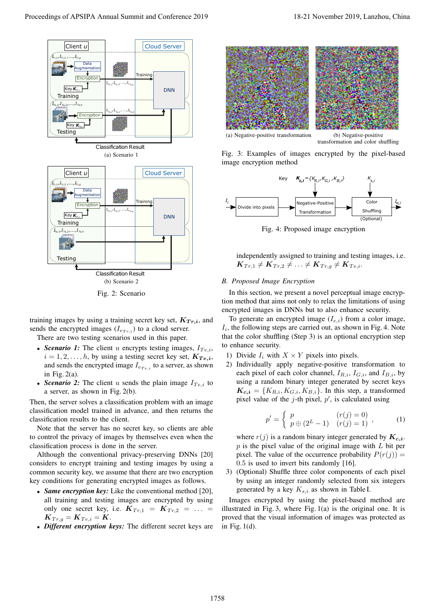

Fig. 2: Scenario

training images by using a training secret key set,  $K_{T r,i}$ , and sends the encrypted images  $(I_{e_{Tri}})$  to a cloud server.

There are two testing scenarios used in this paper.

- *Scenario 1:* The client u encrypts testing images,  $I_{Te,i}$ ,  $i = 1, 2, \dots, h$ , by using a testing secret key set,  $K_{Te,i}$ , and sends the encrypted image  $I_{e_{Te,i}}$  to a server, as shown in Fig.  $2(a)$ .
- **Scenario 2:** The client u sends the plain image  $I_{Te,i}$  to a server, as shown in Fig. 2(b).

Then, the server solves a classification problem with an image classification model trained in advance, and then returns the classification results to the client.

Note that the server has no secret key, so clients are able to control the privacy of images by themselves even when the classification process is done in the server.

Although the conventional privacy-preserving DNNs [20] considers to encrypt training and testing images by using a common security key, we assume that there are two encryption key conditions for generating encrypted images as follows.

- **Same encryption key:** Like the conventional method [20], all training and testing images are encrypted by using only one secret key, i.e.  $K_{Tr,1} = K_{Tr,2} = ...$  $\mathbf{K}_{Tr,q} = \mathbf{K}_{Te,i} = \mathbf{K}.$
- *Different encryption keys:* The different secret keys are



(a) Negative-positive transformation (b) Negative-positive

transformation and color shuffling

Fig. 3: Examples of images encrypted by the pixel-based image encryption method



Fig. 4: Proposed image encryption

independently assigned to training and testing images, i.e.  $\overline{\boldsymbol{K}_{Tr,1}} \neq \overline{\boldsymbol{K}_{Tr,2}} \neq \ldots \neq \overline{\boldsymbol{K}_{Tr,g}} \neq \overline{\boldsymbol{K}_{Te,i}}.$ 

## *B. Proposed Image Encryption*

In this section, we present a novel perceptual image encryption method that aims not only to relax the limitations of using encrypted images in DNNs but to also enhance security.

To generate an encrypted image  $(I_{e,i})$  from a color image,  $I_i$ , the following steps are carried out, as shown in Fig. 4. Note that the color shuffling (Step 3) is an optional encryption step to enhance security.

- 1) Divide  $I_i$  with  $X \times Y$  pixels into pixels.
- 2) Individually apply negative-positive transformation to each pixel of each color channel,  $I_{R,i}$ ,  $I_{G,i}$ , and  $I_{B,i}$ , by using a random binary integer generated by secret keys  $K_{c,i} = \{K_{R,i}, K_{G,i}, K_{B,i}\}.$  In this step, a transformed pixel value of the j-th pixel,  $p'$ , is calculated using

$$
p' = \begin{cases} p & (r(j) = 0) \\ p \oplus (2^L - 1) & (r(j) = 1) \end{cases},
$$
 (1)

where  $r(j)$  is a random binary integer generated by  $K_{c,i}$ .  $p$  is the pixel value of the original image with  $L$  bit per pixel. The value of the occurrence probability  $P(r(j)) =$ 0.5 is used to invert bits randomly [16].

3) (Optional) Shuffle three color components of each pixel by using an integer randomly selected from six integers generated by a key  $K_{s,i}$  as shown in Table I.

Images encrypted by using the pixel-based method are illustrated in Fig. 3, where Fig. 1(a) is the original one. It is proved that the visual information of images was protected as in Fig. 1(d).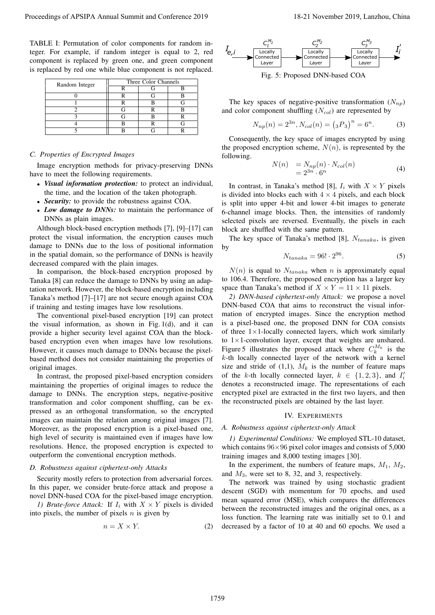TABLE I: Permutation of color components for random integer. For example, if random integer is equal to 2, red component is replaced by green one, and green component is replaced by red one while blue component is not replaced.

| Random Integer | Three Color Channels |  |
|----------------|----------------------|--|
|                |                      |  |
|                |                      |  |
|                |                      |  |
|                |                      |  |
|                |                      |  |
|                |                      |  |
|                |                      |  |

## *C. Properties of Encrypted Images*

Image encryption methods for privacy-preserving DNNs have to meet the following requirements.

- *Visual information protection:* to protect an individual, the time, and the location of the taken photograph.
- *Security:* to provide the robustness against COA.
- **Low damage to DNNs:** to maintain the performance of DNNs as plain images.

Although block-based encryption methods [7], [9]–[17] can protect the visual information, the encryption causes much damage to DNNs due to the loss of positional information in the spatial domain, so the performance of DNNs is heavily decreased compared with the plain images.

In comparison, the block-based encryption proposed by Tanaka [8] can reduce the damage to DNNs by using an adaptation network. However, the block-based encryption including Tanaka's method [7]–[17] are not secure enough against COA if training and testing images have low resolutions.

The conventional pixel-based encryption [19] can protect the visual information, as shown in Fig. 1(d), and it can provide a higher security level against COA than the blockbased encryption even when images have low resolutions. However, it causes much damage to DNNs because the pixelbased method does not consider maintaining the properties of original images.

In contrast, the proposed pixel-based encryption considers maintaining the properties of original images to reduce the damage to DNNs. The encryption steps, negative-positive transformation and color component shuffling, can be expressed as an orthogonal transformation, so the encrypted images can maintain the relation among original images [7]. Moreover, as the proposed encryption is a pixel-based one, high level of security is maintained even if images have low resolutions. Hence, the proposed encryption is expected to outperform the conventional encryption methods.

## *D. Robustness against ciphertext-only Attacks*

Security mostly refers to protection from adversarial forces. In this paper, we consider brute-force attack and propose a novel DNN-based COA for the pixel-based image encryption.

*1) Brute-force Attack:* If  $I_i$  with  $X \times Y$  pixels is divided into pixels, the number of pixels  $n$  is given by

$$
n = X \times Y. \tag{2}
$$



Fig. 5: Proposed DNN-based COA

The key spaces of negative-positive transformation  $(N_{nn})$ and color component shuffling  $(N_{col})$  are represented by

$$
N_{np}(n) = 2^{3n}, N_{col}(n) = (3P_3)^n = 6^n.
$$
 (3)

Consequently, the key space of images encrypted by using the proposed encryption scheme,  $N(n)$ , is represented by the following.

$$
N(n) = N_{np}(n) \cdot N_{col}(n)
$$
  
=  $2^{3n} \cdot 6^n$  (4)

In contrast, in Tanaka's method [8],  $I_i$  with  $X \times Y$  pixels is divided into blocks each with  $4 \times 4$  pixels, and each block is split into upper 4-bit and lower 4-bit images to generate 6-channel image blocks. Then, the intensities of randomly selected pixels are reversed. Eventually, the pixels in each block are shuffled with the same pattern.

The key space of Tanaka's method [8],  $N_{tanaka}$ , is given by

$$
N_{tanaka} = 96! \cdot 2^{96}.\tag{5}
$$

 $N(n)$  is equal to  $N_{tanaka}$  when n is approximately equal to 106.4. Therefore, the proposed encryption has a larger key space than Tanaka's method if  $X \times Y = 11 \times 11$  pixels.

*2) DNN-based ciphertext-only Attack:* we propose a novel DNN-based COA that aims to reconstruct the visual information of encrypted images. Since the encryption method is a pixel-based one, the proposed DNN for COA consists of three  $1 \times 1$ -locally connected layers, which work similarly to  $1 \times 1$ -convolution layer, except that weights are unshared. Figure 5 illustrates the proposed attack where  $C_k^{M_k}$  is the k-th locally connected layer of the network with a kernel size and stride of  $(1,1)$ ,  $M_k$  is the number of feature maps of the k-th locally connected layer,  $k \in \{1, 2, 3\}$ , and  $I'_i$ denotes a reconstructed image. The representations of each encrypted pixel are extracted in the first two layers, and then the reconstructed pixels are obtained by the last layer. Proceedings of APSIPA Annual Summit at the china in the summit and  $\frac{C_1}{C_1C_2C_3}$  is the summit and Conference 2019 18-21 November 2019, Langhost 2019, Langhost 2019, Langhost 2019, Langhost 2019, Langhost 2019, Lang

#### IV. EXPERIMENTS

### *A. Robustness against ciphertext-only Attack*

*1) Experimental Conditions:* We employed STL-10 dataset, which contains  $96\times96$  pixel color images and consists of 5,000 training images and 8,000 testing images [30].

In the experiment, the numbers of feature maps,  $M_1$ ,  $M_2$ , and  $M_3$ , were set to 8, 32, and 3, respectively.

The network was trained by using stochastic gradient descent (SGD) with momentum for 70 epochs, and used mean squared error (MSE), which compares the differences between the reconstructed images and the original ones, as a loss function. The learning rate was initially set to 0.1 and decreased by a factor of 10 at 40 and 60 epochs. We used a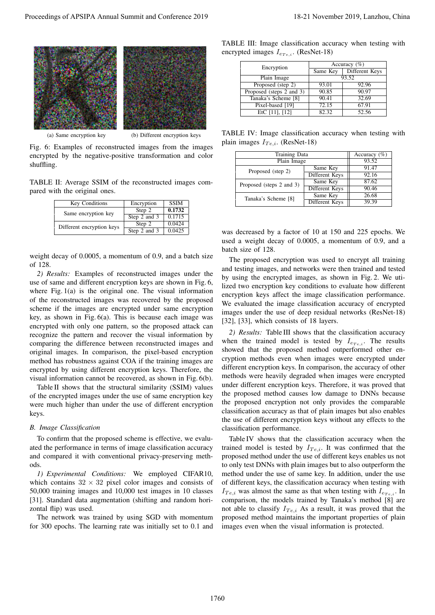

(a) Same encryption key (b) Different encryption keys

Fig. 6: Examples of reconstructed images from the images encrypted by the negative-positive transformation and color shuffling.

TABLE II: Average SSIM of the reconstructed images compared with the original ones.

| Key Conditions            | Encryption   | <b>SSIM</b> |
|---------------------------|--------------|-------------|
| Same encryption key       | Step 2       | 0.1732      |
|                           | Step 2 and 3 | 0.1715      |
| Different encryption keys | Step 2       | 0.0424      |
|                           | Step 2 and 3 | 0.0425      |

weight decay of 0.0005, a momentum of 0.9, and a batch size of 128.

*2) Results:* Examples of reconstructed images under the use of same and different encryption keys are shown in Fig. 6, where Fig. 1(a) is the original one. The visual information of the reconstructed images was recovered by the proposed scheme if the images are encrypted under same encryption key, as shown in Fig.  $6(a)$ . This is because each image was encrypted with only one pattern, so the proposed attack can recognize the pattern and recover the visual information by comparing the difference between reconstructed images and original images. In comparison, the pixel-based encryption method has robustness against COA if the training images are encrypted by using different encryption keys. Therefore, the visual information cannot be recovered, as shown in Fig. 6(b). Proceeding of APSIPA Annual Summit and The Total Markov Higher Conference 2019 18-21 November 2019, China 2019<br>
The Conference 2019 18-21 November 2019 18-21 November 2019 18-21 November 2019 18-21 November 2019 18-21 Nov

Table II shows that the structural similarity (SSIM) values of the encrypted images under the use of same encryption key were much higher than under the use of different encryption keys.

#### *B. Image Classification*

To confirm that the proposed scheme is effective, we evaluated the performance in terms of image classification accuracy and compared it with conventional privacy-preserving methods.

*1) Experimental Conditions:* We employed CIFAR10, which contains  $32 \times 32$  pixel color images and consists of 50,000 training images and 10,000 test images in 10 classes [31]. Standard data augmentation (shifting and random horizontal flip) was used.

The network was trained by using SGD with momentum for 300 epochs. The learning rate was initially set to 0.1 and

TABLE III: Image classification accuracy when testing with encrypted images  $I_{e_{Te,i}}$ . (ResNet-18)

| Encryption               | Accuracy $(\% )$ |                |  |
|--------------------------|------------------|----------------|--|
|                          | Same Key         | Different Keys |  |
| Plain Image              | 93.52            |                |  |
| Proposed (step 2)        | 93.01            | 92.96          |  |
| Proposed (steps 2 and 3) | 90.85            | 90.97          |  |
| Tanaka's Scheme [8]      | 90.41            | 32.69          |  |
| Pixel-based [19]         | 72.15            | 67.91          |  |
| EtC $[11]$ , $[12]$      | 82.32            | 52.56          |  |

TABLE IV: Image classification accuracy when testing with plain images  $I_{Te,i}$ . (ResNet-18)

| Training Data            |                | Accuracy $(\%)$ |
|--------------------------|----------------|-----------------|
| Plain Image              |                | 93.52           |
| Proposed (step 2)        | Same Key       | 91.47           |
|                          | Different Keys | 92.16           |
| Proposed (steps 2 and 3) | Same Key       | 87.62           |
|                          | Different Keys | 90.46           |
| Tanaka's Scheme [8]      | Same Key       | 26.68           |
|                          | Different Keys | 39.39           |

was decreased by a factor of 10 at 150 and 225 epochs. We used a weight decay of 0.0005, a momentum of 0.9, and a batch size of 128.

The proposed encryption was used to encrypt all training and testing images, and networks were then trained and tested by using the encrypted images, as shown in Fig. 2. We utilized two encryption key conditions to evaluate how different encryption keys affect the image classification performance. We evaluated the image classification accuracy of encrypted images under the use of deep residual networks (ResNet-18) [32], [33], which consists of 18 layers.

*2) Results:* Table III shows that the classification accuracy when the trained model is tested by  $I_{e_{Te,i}}$ . The results showed that the proposed method outperformed other encryption methods even when images were encrypted under different encryption keys. In comparison, the accuracy of other methods were heavily degraded when images were encrypted under different encryption keys. Therefore, it was proved that the proposed method causes low damage to DNNs because the proposed encryption not only provides the comparable classification accuracy as that of plain images but also enables the use of different encryption keys without any effects to the classification performance.

Table IV shows that the classification accuracy when the trained model is tested by  $I_{Te,i}$ . It was confirmed that the proposed method under the use of different keys enables us not to only test DNNs with plain images but to also outperform the method under the use of same key. In addition, under the use of different keys, the classification accuracy when testing with  $I_{Te,i}$  was almost the same as that when testing with  $I_{er_{e,i}}$ . In comparison, the models trained by Tanaka's method [8] are not able to classify  $I_{Te,i}$  As a result, it was proved that the proposed method maintains the important properties of plain images even when the visual information is protected.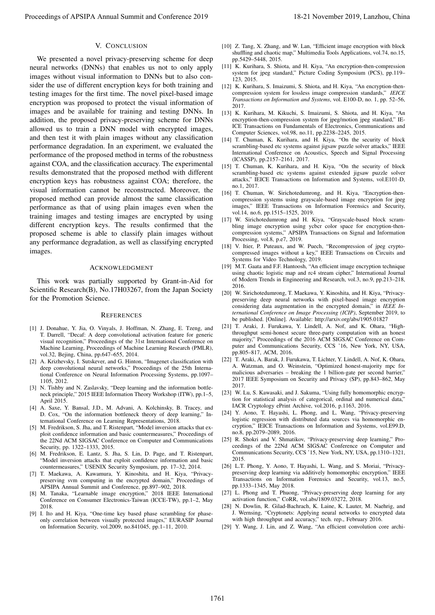## V. CONCLUSION

We presented a novel privacy-preserving scheme for deep neural networks (DNNs) that enables us not to only apply images without visual information to DNNs but to also consider the use of different encryption keys for both training and testing images for the first time. The novel pixel-based image encryption was proposed to protect the visual information of images and be available for training and testing DNNs. In addition, the proposed privacy-preserving scheme for DNNs allowed us to train a DNN model with encrypted images, and then test it with plain images without any classification performance degradation. In an experiment, we evaluated the performance of the proposed method in terms of the robustness against COA, and the classification accuracy. The experimental results demonstrated that the proposed method with different encryption keys has robustness against COA; therefore, the visual information cannot be reconstructed. Moreover, the proposed method can provide almost the same classification performance as that of using plain images even when the training images and testing images are encrypted by using different encryption keys. The results confirmed that the proposed scheme is able to classify plain images without any performance degradation, as well as classifying encrypted images. Proceedings of APSIPA Annual Summit and Conference 2019 18-21 November 2019, Lanzhou, China 1761

#### ACKNOWLEDGMENT

This work was partially supported by Grant-in-Aid for Scientific Research(B), No.17H03267, from the Japan Society for the Promotion Science.

#### **REFERENCES**

- [1] J. Donahue, Y. Jia, O. Vinyals, J. Hoffman, N. Zhang, E. Tzeng, and T. Darrell, "Decaf: A deep convolutional activation feature for generic visual recognition," Proceedings of the 31st International Conference on Machine Learning, Proceedings of Machine Learning Research (PMLR), vol.32, Bejing, China, pp.647–655, 2014.
- [2] A. Krizhevsky, I. Sutskever, and G. Hinton, "Imagenet classification with deep convolutional neural networks," Proceedings of the 25th International Conference on Neural Information Processing Systems, pp.1097– 1105, 2012.
- [3] N. Tishby and N. Zaslavsky, "Deep learning and the information bottleneck principle," 2015 IEEE Information Theory Workshop (ITW), pp.1–5, April 2015.
- [4] A. Saxe, Y. Bansal, J.D., M. Advani, A. Kolchinsky, B. Tracey, and D. Cox, "On the information bottleneck theory of deep learning," International Conference on Learning Representations, 2018.
- [5] M. Fredrikson, S. Jha, and T. Ristenpart, "Model inversion attacks that exploit confidence information and basic countermeasures," Proceedings of the 22Nd ACM SIGSAC Conference on Computer and Communications Security, pp. 1322–1333, 2015.
- [6] M. Fredrikson, E. Lantz, S. Jha, S. Lin, D. Page, and T. Ristenpart, "Model inversion attacks that exploit confidence information and basic countermeasures," USENIX Security Symposium, pp. 17–32, 2014.
- [7] T. Maekawa, A. Kawamura, Y. Kinoshita, and H. Kiya, "Privacypreserving svm computing in the encrypted domain," Proceedings of APSIPA Annual Summit and Conference, pp.897–902, 2018.
- [8] M. Tanaka, "Learnable image encryption," 2018 IEEE International Conference on Consumer Electronics-Taiwan (ICCE-TW), pp.1–2, May 2018.
- [9] I. Ito and H. Kiya, "One-time key based phase scrambling for phaseonly correlation between visually protected images," EURASIP Journal on Information Security, vol.2009, no.841045, pp.1–11, 2010.
- [10] Z. Tang, X. Zhang, and W. Lan, "Efficient image encryption with block shuffling and chaotic map," Multimedia Tools Applications, vol.74, no.15, pp.5429–5448, 2015.
- [11] K. Kurihara, S. Shiota, and H. Kiya, "An encryption-then-compression system for jpeg standard," Picture Coding Symposium (PCS), pp.119– 123, 2015.
- [12] K. Kurihara, S. Imaizumi, S. Shiota, and H. Kiya, "An encryption-thencompression system for lossless image compression standards," *IEICE Transactions on Information and Systems*, vol. E100-D, no. 1, pp. 52–56, 2017.
- [13] K. Kurihara, M. Kikuchi, S. Imaizumi, S. Shiota, and H. Kiya, "An encryption-then-compression system for jpeg/motion jpeg standard," IE-ICE Transactions on Fundamentals of Electronics, Communications and Computer Sciences, vol.98, no.11, pp.2238–2245, 2015.
- [14] T. Chuman, K. Kurihara, and H. Kiya, "On the security of block scrambling-based etc systems against jigsaw puzzle solver attacks," IEEE International Conference on Acoustics, Speech and Signal Processing (ICASSP), pp.2157–2161, 2017.
- [15] T. Chuman, K. Kurihara, and H. Kiya, "On the security of block scrambling-based etc systems against extended jigsaw puzzle solver attacks," IEICE Transactions on Information and Systems, vol.E101-D, no.1, 2017.
- [16] T. Chuman, W. Sirichotedumrong, and H. Kiya, "Encryption-thencompression systems using grayscale-based image encryption for jpeg images," IEEE Transactions on Information Forensics and Security, vol.14, no.6, pp.1515–1525, 2019.
- [17] W. Sirichotedumrong and H. Kiya, "Grayscale-based block scrambling image encryption using ycbcr color space for encryption-thencompression systems," APSIPA Transactions on Signal and Information Processing, vol.8, p.e7, 2019.
- [18] V. Itier, P. Puteaux, and W. Puech, "Recompression of jpeg cryptocompressed images without a key," IEEE Transactions on Circuits and Systems for Video Technology, 2019.
- [19] M.T. Gaata and F.F. Hantoosh, "An efficient image encryption technique using chaotic logistic map and rc4 stream cipher," International Journal of Modern Trends in Engineering and Research, vol.3, no.9, pp.213–218, 2016.
- [20] W. Sirichotedumrong, T. Maekawa, Y. Kinoshita, and H. Kiya, "Privacypreserving deep neural networks with pixel-based image encryption considering data augmentation in the encrypted domain," in *IEEE International Conference on Image Processing (ICIP)*, September 2019, to be published. [Online]. Available: http://arxiv.org/abs/1905.01827
- [21] T. Araki, J. Furukawa, Y. Lindell, A. Nof, and K. Ohara, "Highthroughput semi-honest secure three-party computation with an honest majority," Proceedings of the 2016 ACM SIGSAC Conference on Computer and Communications Security, CCS '16, New York, NY, USA, pp.805–817, ACM, 2016.
- [22] T. Araki, A. Barak, J. Furukawa, T. Lichter, Y. Lindell, A. Nof, K. Ohara, A. Watzman, and O. Weinstein, "Optimized honest-majority mpc for malicious adversaries – breaking the  $1$  billion-gate per second barrier," 2017 IEEE Symposium on Security and Privacy (SP), pp.843–862, May 2017.
- [23] W. Lu, S. Kawasaki, and J. Sakuma, "Using fully homomorphic encryption for statistical analysis of categorical, ordinal and numerical data," IACR Cryptology ePrint Archive, vol.2016, p.1163, 2016.
- [24] Y. Aono, T. Hayashi, L. Phong, and L. Wang, "Privacy-preserving logistic regression with distributed data sources via homomorphic encryption," IEICE Transactions on Information and Systems, vol.E99.D, no.8, pp.2079–2089, 2016.
- [25] R. Shokri and V. Shmatikov, "Privacy-preserving deep learning," Proceedings of the 22Nd ACM SIGSAC Conference on Computer and Communications Security, CCS '15, New York, NY, USA, pp.1310–1321, 2015.
- [26] L.T. Phong, Y. Aono, T. Hayashi, L. Wang, and S. Moriai, "Privacypreserving deep learning via additively homomorphic encryption," IEEE Transactions on Information Forensics and Security, vol.13, no.5, pp.1333–1345, May 2018.
- [27] L. Phong and T. Phuong, "Privacy-preserving deep learning for any activation function," CoRR, vol.abs/1809.03272, 2018.
- [28] N. Dowlin, R. Gilad-Bachrach, K. Laine, K. Lauter, M. Naehrig, and J. Wernsing, "Cryptonets: Applying neural networks to encrypted data with high throughput and accuracy," tech. rep., February 2016.
- [29] Y. Wang, J. Lin, and Z. Wang, "An efficient convolution core archi-